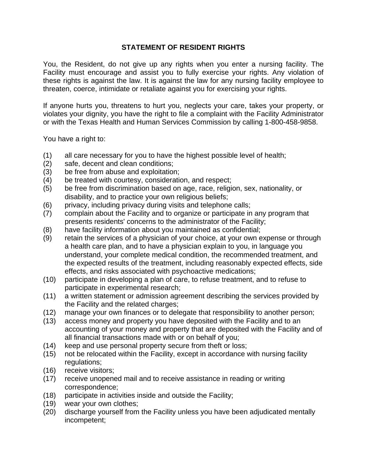## **STATEMENT OF RESIDENT RIGHTS**

You, the Resident, do not give up any rights when you enter a nursing facility. The Facility must encourage and assist you to fully exercise your rights. Any violation of these rights is against the law. It is against the law for any nursing facility employee to threaten, coerce, intimidate or retaliate against you for exercising your rights.

If anyone hurts you, threatens to hurt you, neglects your care, takes your property, or violates your dignity, you have the right to file a complaint with the Facility Administrator or with the Texas Health and Human Services Commission by calling 1-800-458-9858.

You have a right to:

- (1) all care necessary for you to have the highest possible level of health;
- (2) safe, decent and clean conditions;
- (3) be free from abuse and exploitation;
- (4) be treated with courtesy, consideration, and respect;
- (5) be free from discrimination based on age, race, religion, sex, nationality, or disability, and to practice your own religious beliefs;
- (6) privacy, including privacy during visits and telephone calls;
- (7) complain about the Facility and to organize or participate in any program that presents residents' concerns to the administrator of the Facility;
- (8) have facility information about you maintained as confidential;
- (9) retain the services of a physician of your choice, at your own expense or through a health care plan, and to have a physician explain to you, in language you understand, your complete medical condition, the recommended treatment, and the expected results of the treatment, including reasonably expected effects, side effects, and risks associated with psychoactive medications;
- (10) participate in developing a plan of care, to refuse treatment, and to refuse to participate in experimental research;
- (11) a written statement or admission agreement describing the services provided by the Facility and the related charges;
- (12) manage your own finances or to delegate that responsibility to another person;
- (13) access money and property you have deposited with the Facility and to an accounting of your money and property that are deposited with the Facility and of all financial transactions made with or on behalf of you;
- (14) keep and use personal property secure from theft or loss;
- (15) not be relocated within the Facility, except in accordance with nursing facility regulations;
- (16) receive visitors;
- (17) receive unopened mail and to receive assistance in reading or writing correspondence;
- (18) participate in activities inside and outside the Facility;
- (19) wear your own clothes;
- (20) discharge yourself from the Facility unless you have been adjudicated mentally incompetent;